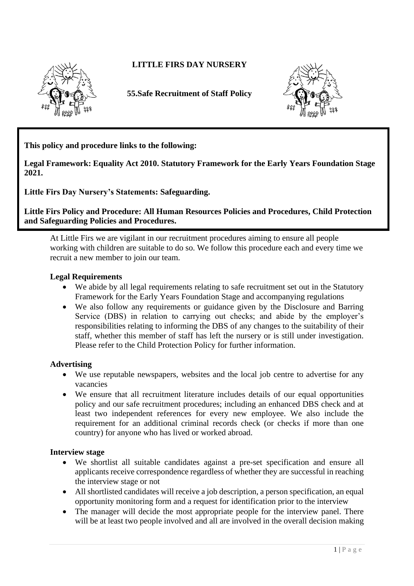

# **LITTLE FIRS DAY NURSERY**

**55.Safe Recruitment of Staff Policy**



**This policy and procedure links to the following:** 

**Legal Framework: Equality Act 2010. Statutory Framework for the Early Years Foundation Stage 2021.**

**Little Firs Day Nursery's Statements: Safeguarding.**

**Little Firs Policy and Procedure: All Human Resources Policies and Procedures, Child Protection and Safeguarding Policies and Procedures.**

At Little Firs we are vigilant in our recruitment procedures aiming to ensure all people working with children are suitable to do so. We follow this procedure each and every time we recruit a new member to join our team.

### **Legal Requirements**

- We abide by all legal requirements relating to safe recruitment set out in the Statutory Framework for the Early Years Foundation Stage and accompanying regulations
- We also follow any requirements or guidance given by the Disclosure and Barring Service (DBS) in relation to carrying out checks; and abide by the employer's responsibilities relating to informing the DBS of any changes to the suitability of their staff, whether this member of staff has left the nursery or is still under investigation. Please refer to the Child Protection Policy for further information.

#### **Advertising**

- We use reputable newspapers, websites and the local job centre to advertise for any vacancies
- We ensure that all recruitment literature includes details of our equal opportunities policy and our safe recruitment procedures; including an enhanced DBS check and at least two independent references for every new employee. We also include the requirement for an additional criminal records check (or checks if more than one country) for anyone who has lived or worked abroad.

#### **Interview stage**

- We shortlist all suitable candidates against a pre-set specification and ensure all applicants receive correspondence regardless of whether they are successful in reaching the interview stage or not
- All shortlisted candidates will receive a job description, a person specification, an equal opportunity monitoring form and a request for identification prior to the interview
- The manager will decide the most appropriate people for the interview panel. There will be at least two people involved and all are involved in the overall decision making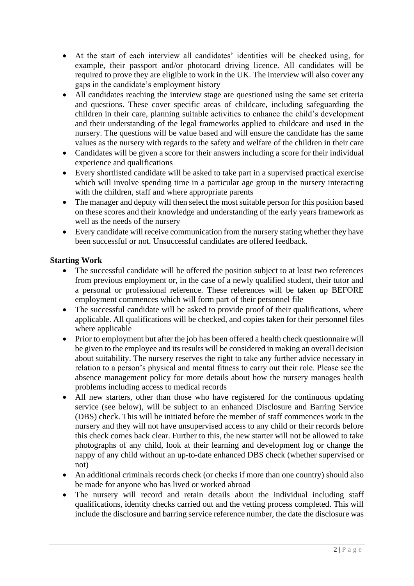- At the start of each interview all candidates' identities will be checked using, for example, their passport and/or photocard driving licence. All candidates will be required to prove they are eligible to work in the UK. The interview will also cover any gaps in the candidate's employment history
- All candidates reaching the interview stage are questioned using the same set criteria and questions. These cover specific areas of childcare, including safeguarding the children in their care, planning suitable activities to enhance the child's development and their understanding of the legal frameworks applied to childcare and used in the nursery. The questions will be value based and will ensure the candidate has the same values as the nursery with regards to the safety and welfare of the children in their care
- Candidates will be given a score for their answers including a score for their individual experience and qualifications
- Every shortlisted candidate will be asked to take part in a supervised practical exercise which will involve spending time in a particular age group in the nursery interacting with the children, staff and where appropriate parents
- The manager and deputy will then select the most suitable person for this position based on these scores and their knowledge and understanding of the early years framework as well as the needs of the nursery
- Every candidate will receive communication from the nursery stating whether they have been successful or not. Unsuccessful candidates are offered feedback.

# **Starting Work**

- The successful candidate will be offered the position subject to at least two references from previous employment or, in the case of a newly qualified student, their tutor and a personal or professional reference. These references will be taken up BEFORE employment commences which will form part of their personnel file
- The successful candidate will be asked to provide proof of their qualifications, where applicable. All qualifications will be checked, and copies taken for their personnel files where applicable
- Prior to employment but after the job has been offered a health check questionnaire will be given to the employee and its results will be considered in making an overall decision about suitability. The nursery reserves the right to take any further advice necessary in relation to a person's physical and mental fitness to carry out their role. Please see the absence management policy for more details about how the nursery manages health problems including access to medical records
- All new starters, other than those who have registered for the continuous updating service (see below), will be subject to an enhanced Disclosure and Barring Service (DBS) check. This will be initiated before the member of staff commences work in the nursery and they will not have unsupervised access to any child or their records before this check comes back clear. Further to this, the new starter will not be allowed to take photographs of any child, look at their learning and development log or change the nappy of any child without an up-to-date enhanced DBS check (whether supervised or not)
- An additional criminals records check (or checks if more than one country) should also be made for anyone who has lived or worked abroad
- The nursery will record and retain details about the individual including staff qualifications, identity checks carried out and the vetting process completed. This will include the disclosure and barring service reference number, the date the disclosure was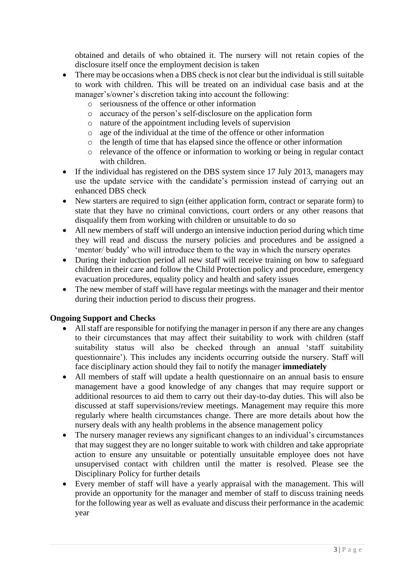obtained and details of who obtained it. The nursery will not retain copies of the disclosure itself once the employment decision is taken

- There may be occasions when a DBS check is not clear but the individual is still suitable to work with children. This will be treated on an individual case basis and at the manager's/owner's discretion taking into account the following:
	- o seriousness of the offence or other information
	- o accuracy of the person's self-disclosure on the application form
	- o nature of the appointment including levels of supervision
	- o age of the individual at the time of the offence or other information
	- o the length of time that has elapsed since the offence or other information
	- o relevance of the offence or information to working or being in regular contact with children.
- If the individual has registered on the DBS system since 17 July 2013, managers may use the update service with the candidate's permission instead of carrying out an enhanced DBS check
- New starters are required to sign (either application form, contract or separate form) to state that they have no criminal convictions, court orders or any other reasons that disqualify them from working with children or unsuitable to do so
- All new members of staff will undergo an intensive induction period during which time they will read and discuss the nursery policies and procedures and be assigned a 'mentor/ buddy' who will introduce them to the way in which the nursery operates
- During their induction period all new staff will receive training on how to safeguard children in their care and follow the Child Protection policy and procedure, emergency evacuation procedures, equality policy and health and safety issues
- The new member of staff will have regular meetings with the manager and their mentor during their induction period to discuss their progress.

### **Ongoing Support and Checks**

- All staff are responsible for notifying the manager in person if any there are any changes to their circumstances that may affect their suitability to work with children (staff suitability status will also be checked through an annual 'staff suitability questionnaire'). This includes any incidents occurring outside the nursery. Staff will face disciplinary action should they fail to notify the manager **immediately**
- All members of staff will update a health questionnaire on an annual basis to ensure management have a good knowledge of any changes that may require support or additional resources to aid them to carry out their day-to-day duties. This will also be discussed at staff supervisions/review meetings. Management may require this more regularly where health circumstances change. There are more details about how the nursery deals with any health problems in the absence management policy
- The nursery manager reviews any significant changes to an individual's circumstances that may suggest they are no longer suitable to work with children and take appropriate action to ensure any unsuitable or potentially unsuitable employee does not have unsupervised contact with children until the matter is resolved. Please see the Disciplinary Policy for further details
- Every member of staff will have a yearly appraisal with the management. This will provide an opportunity for the manager and member of staff to discuss training needs for the following year as well as evaluate and discuss their performance in the academic year